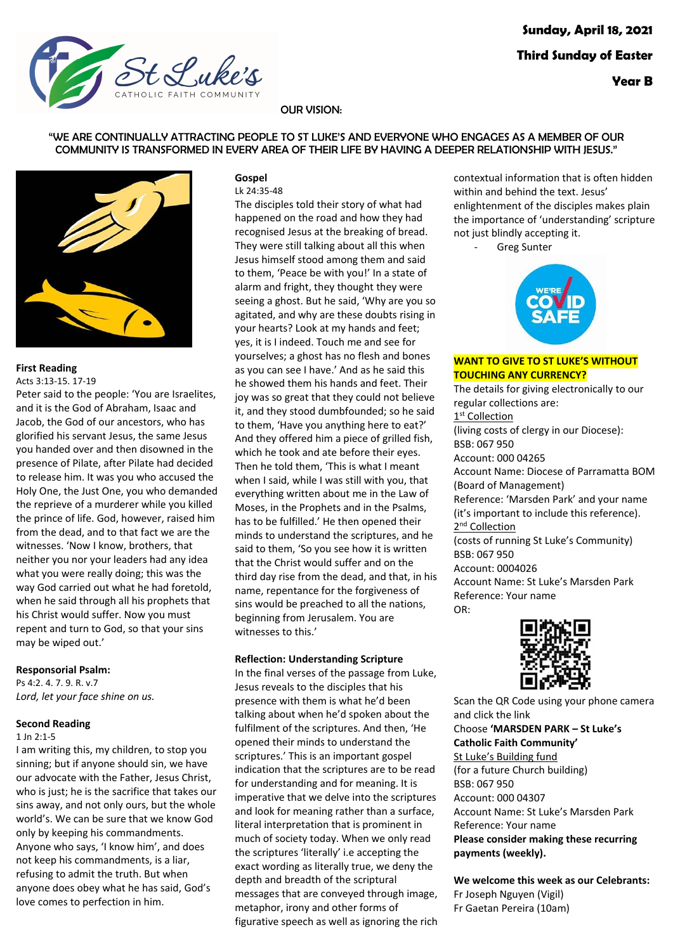

# OUR VISION:

# "WE ARE CONTINUALLY ATTRACTING PEOPLE TO ST LUKE'S AND EVERYONE WHO ENGAGES AS A MEMBER OF OUR COMMUNITY IS TRANSFORMED IN EVERY AREA OF THEIR LIFE BY HAVING A DEEPER RELATIONSHIP WITH JESUS."



### **First Reading**

Acts 3:13-15. 17-19

Peter said to the people: 'You are Israelites, and it is the God of Abraham, Isaac and Jacob, the God of our ancestors, who has glorified his servant Jesus, the same Jesus you handed over and then disowned in the presence of Pilate, after Pilate had decided to release him. It was you who accused the Holy One, the Just One, you who demanded the reprieve of a murderer while you killed the prince of life. God, however, raised him from the dead, and to that fact we are the witnesses. 'Now I know, brothers, that neither you nor your leaders had any idea what you were really doing; this was the way God carried out what he had foretold, when he said through all his prophets that his Christ would suffer. Now you must repent and turn to God, so that your sins may be wiped out.'

## **Responsorial Psalm:**

Ps 4:2. 4. 7. 9. R. v.7 *Lord, let your face shine on us.*

# **Second Reading**

1 In  $2.1 - 5$ 

I am writing this, my children, to stop you sinning; but if anyone should sin, we have our advocate with the Father, Jesus Christ, who is just; he is the sacrifice that takes our sins away, and not only ours, but the whole world's. We can be sure that we know God only by keeping his commandments. Anyone who says, 'I know him', and does not keep his commandments, is a liar, refusing to admit the truth. But when anyone does obey what he has said, God's love comes to perfection in him.

#### **Gospel** Lk 24:35-48

The disciples told their story of what had happened on the road and how they had recognised Jesus at the breaking of bread. They were still talking about all this when Jesus himself stood among them and said to them, 'Peace be with you!' In a state of alarm and fright, they thought they were seeing a ghost. But he said, 'Why are you so agitated, and why are these doubts rising in your hearts? Look at my hands and feet; yes, it is I indeed. Touch me and see for yourselves; a ghost has no flesh and bones as you can see I have.' And as he said this he showed them his hands and feet. Their joy was so great that they could not believe it, and they stood dumbfounded; so he said to them, 'Have you anything here to eat?' And they offered him a piece of grilled fish, which he took and ate before their eyes. Then he told them, 'This is what I meant when I said, while I was still with you, that everything written about me in the Law of Moses, in the Prophets and in the Psalms, has to be fulfilled.' He then opened their minds to understand the scriptures, and he said to them, 'So you see how it is written that the Christ would suffer and on the third day rise from the dead, and that, in his name, repentance for the forgiveness of sins would be preached to all the nations, beginning from Jerusalem. You are witnesses to this.'

## **Reflection: Understanding Scripture**

In the final verses of the passage from Luke, Jesus reveals to the disciples that his presence with them is what he'd been talking about when he'd spoken about the fulfilment of the scriptures. And then, 'He opened their minds to understand the scriptures.' This is an important gospel indication that the scriptures are to be read for understanding and for meaning. It is imperative that we delve into the scriptures and look for meaning rather than a surface, literal interpretation that is prominent in much of society today. When we only read the scriptures 'literally' i.e accepting the exact wording as literally true, we deny the depth and breadth of the scriptural messages that are conveyed through image, metaphor, irony and other forms of figurative speech as well as ignoring the rich contextual information that is often hidden within and behind the text. Jesus' enlightenment of the disciples makes plain the importance of 'understanding' scripture not just blindly accepting it.

Greg Sunter



## **WANT TO GIVE TO ST LUKE'S WITHOUT TOUCHING ANY CURRENCY?**

The details for giving electronically to our regular collections are: 1<sup>st</sup> Collection (living costs of clergy in our Diocese): BSB: 067 950 Account: 000 04265 Account Name: Diocese of Parramatta BOM (Board of Management) Reference: 'Marsden Park' and your name (it's important to include this reference). 2<sup>nd</sup> Collection (costs of running St Luke's Community) BSB: 067 950 Account: 0004026 Account Name: St Luke's Marsden Park Reference: Your name OR:



Scan the QR Code using your phone camera and click the link Choose **'MARSDEN PARK – St Luke's Catholic Faith Community'** St Luke's Building fund (for a future Church building) BSB: 067 950 Account: 000 04307 Account Name: St Luke's Marsden Park Reference: Your name **Please consider making these recurring payments (weekly).**

**We welcome this week as our Celebrants:** Fr Joseph Nguyen (Vigil) Fr Gaetan Pereira (10am)